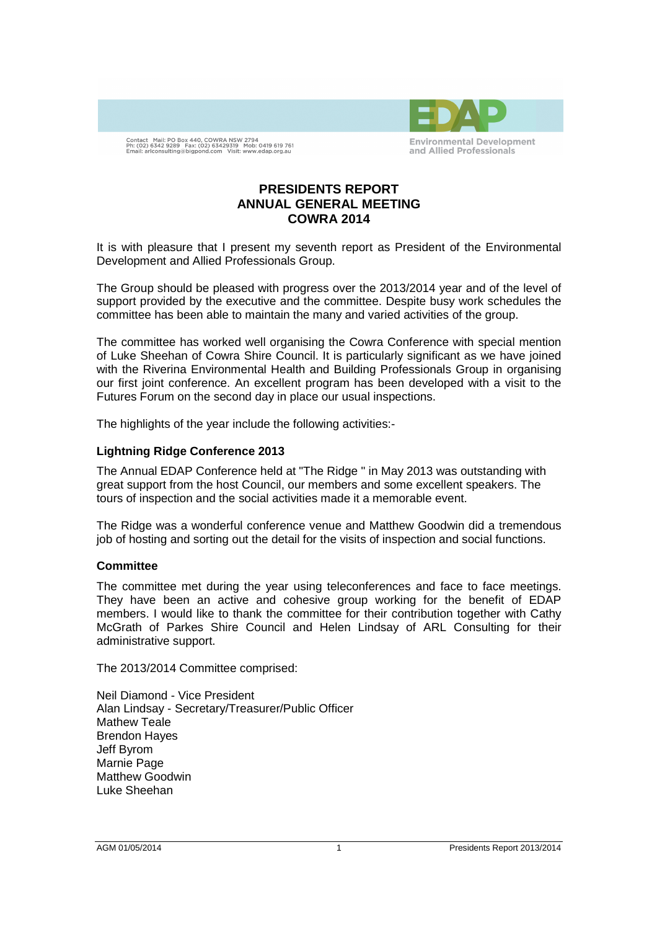

Contact Mail: PO Box 440, COWRA NSW 2794<br>Ph: (02) 6342 9289 Fax: (02) 63429319 Mob: 0419 619 761<br>Email: arlconsulting@bigpond.com Visit: www.edap.org.au

# **PRESIDENTS REPORT ANNUAL GENERAL MEETING COWRA 2014**

It is with pleasure that I present my seventh report as President of the Environmental Development and Allied Professionals Group.

The Group should be pleased with progress over the 2013/2014 year and of the level of support provided by the executive and the committee. Despite busy work schedules the committee has been able to maintain the many and varied activities of the group.

The committee has worked well organising the Cowra Conference with special mention of Luke Sheehan of Cowra Shire Council. It is particularly significant as we have joined with the Riverina Environmental Health and Building Professionals Group in organising our first joint conference. An excellent program has been developed with a visit to the Futures Forum on the second day in place our usual inspections.

The highlights of the year include the following activities:-

### **Lightning Ridge Conference 2013**

The Annual EDAP Conference held at "The Ridge " in May 2013 was outstanding with great support from the host Council, our members and some excellent speakers. The tours of inspection and the social activities made it a memorable event.

The Ridge was a wonderful conference venue and Matthew Goodwin did a tremendous job of hosting and sorting out the detail for the visits of inspection and social functions.

#### **Committee**

The committee met during the year using teleconferences and face to face meetings. They have been an active and cohesive group working for the benefit of EDAP members. I would like to thank the committee for their contribution together with Cathy McGrath of Parkes Shire Council and Helen Lindsay of ARL Consulting for their administrative support.

The 2013/2014 Committee comprised:

Neil Diamond - Vice President Alan Lindsay - Secretary/Treasurer/Public Officer Mathew Teale Brendon Hayes Jeff Byrom Marnie Page Matthew Goodwin Luke Sheehan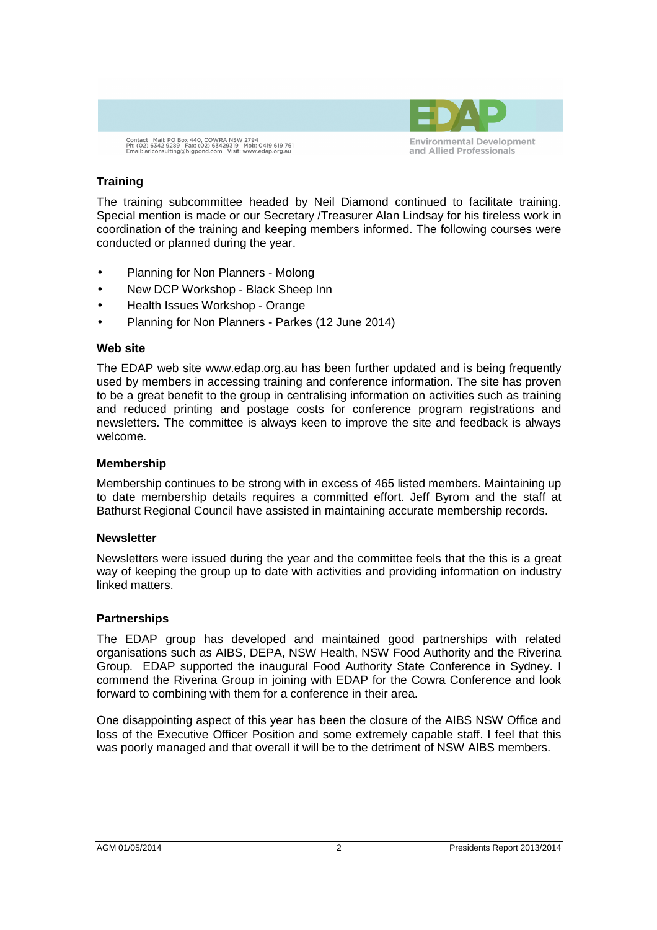



## **Training**

The training subcommittee headed by Neil Diamond continued to facilitate training. Special mention is made or our Secretary /Treasurer Alan Lindsay for his tireless work in coordination of the training and keeping members informed. The following courses were conducted or planned during the year.

- Planning for Non Planners Molong
- New DCP Workshop Black Sheep Inn
- Health Issues Workshop Orange
- Planning for Non Planners Parkes (12 June 2014)

### **Web site**

The EDAP web site www.edap.org.au has been further updated and is being frequently used by members in accessing training and conference information. The site has proven to be a great benefit to the group in centralising information on activities such as training and reduced printing and postage costs for conference program registrations and newsletters. The committee is always keen to improve the site and feedback is always welcome.

### **Membership**

Membership continues to be strong with in excess of 465 listed members. Maintaining up to date membership details requires a committed effort. Jeff Byrom and the staff at Bathurst Regional Council have assisted in maintaining accurate membership records.

## **Newsletter**

Newsletters were issued during the year and the committee feels that the this is a great way of keeping the group up to date with activities and providing information on industry linked matters.

## **Partnerships**

The EDAP group has developed and maintained good partnerships with related organisations such as AIBS, DEPA, NSW Health, NSW Food Authority and the Riverina Group. EDAP supported the inaugural Food Authority State Conference in Sydney. I commend the Riverina Group in joining with EDAP for the Cowra Conference and look forward to combining with them for a conference in their area.

One disappointing aspect of this year has been the closure of the AIBS NSW Office and loss of the Executive Officer Position and some extremely capable staff. I feel that this was poorly managed and that overall it will be to the detriment of NSW AIBS members.